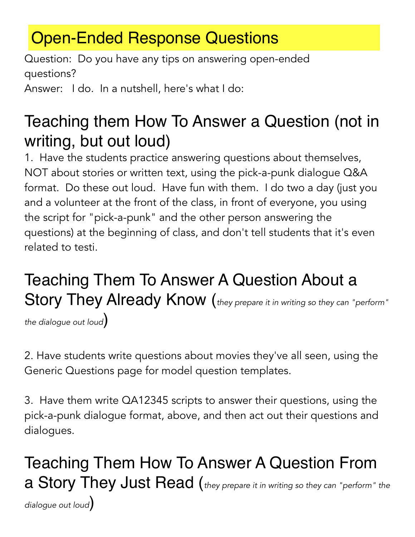## Open-Ended Response Questions

Question: Do you have any tips on answering open-ended questions?

Answer: I do. In a nutshell, here's what I do:

## Teaching them How To Answer a Question (not in writing, but out loud)

1. Have the students practice answering questions about themselves, NOT about stories or written text, using the pick-a-punk dialogue Q&A format. Do these out loud. Have fun with them. I do two a day (just you and a volunteer at the front of the class, in front of everyone, you using the script for "pick-a-punk" and the other person answering the questions) at the beginning of class, and don't tell students that it's even related to testi.

## Teaching Them To Answer A Question About a Story They Already Know (*they prepare it in writing so they can "perform"*

*the dialogue out loud*)

2. Have students write questions about movies they've all seen, using the Generic Questions page for model question templates.

3. Have them write QA12345 scripts to answer their questions, using the pick-a-punk dialogue format, above, and then act out their questions and dialogues.

Teaching Them How To Answer A Question From a Story They Just Read (*they prepare it in writing so they can "perform" the dialogue out loud*)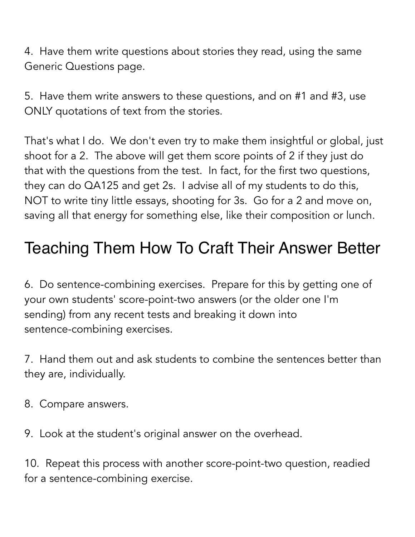4. Have them write questions about stories they read, using the same Generic Questions page.

5. Have them write answers to these questions, and on #1 and #3, use ONLY quotations of text from the stories.

That's what I do. We don't even try to make them insightful or global, just shoot for a 2. The above will get them score points of 2 if they just do that with the questions from the test. In fact, for the first two questions, they can do QA125 and get 2s. I advise all of my students to do this, NOT to write tiny little essays, shooting for 3s. Go for a 2 and move on, saving all that energy for something else, like their composition or lunch.

## Teaching Them How To Craft Their Answer Better

6. Do sentence-combining exercises. Prepare for this by getting one of your own students' score-point-two answers (or the older one I'm sending) from any recent tests and breaking it down into sentence-combining exercises.

7. Hand them out and ask students to combine the sentences better than they are, individually.

8. Compare answers.

9. Look at the student's original answer on the overhead.

10. Repeat this process with another score-point-two question, readied for a sentence-combining exercise.